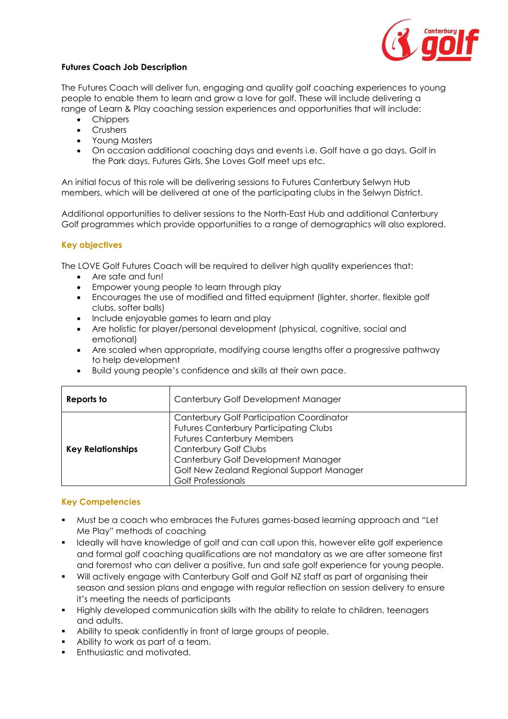

## **Futures Coach Job Description**

The Futures Coach will deliver fun, engaging and quality golf coaching experiences to young people to enable them to learn and grow a love for golf. These will include delivering a range of Learn & Play coaching session experiences and opportunities that will include:

- Chippers
- Crushers
- Young Masters
- On occasion additional coaching days and events i.e. Golf have a go days, Golf in the Park days, Futures Girls, She Loves Golf meet ups etc.

An initial focus of this role will be delivering sessions to Futures Canterbury Selwyn Hub members, which will be delivered at one of the participating clubs in the Selwyn District.

Additional opportunities to deliver sessions to the North-East Hub and additional Canterbury Golf programmes which provide opportunities to a range of demographics will also explored.

## **Key objectives**

The LOVE Golf Futures Coach will be required to deliver high quality experiences that:

- Are safe and fun!
- Empower young people to learn through play
- Encourages the use of modified and fitted equipment (lighter, shorter, flexible golf clubs, softer balls)
- Include enjoyable games to learn and play
- Are holistic for player/personal development (physical, cognitive, social and emotional)
- Are scaled when appropriate, modifying course lengths offer a progressive pathway to help development
- Build young people's confidence and skills at their own pace.

| Reports to               | Canterbury Golf Development Manager                                                                                                                                                                                                                                              |
|--------------------------|----------------------------------------------------------------------------------------------------------------------------------------------------------------------------------------------------------------------------------------------------------------------------------|
| <b>Key Relationships</b> | Canterbury Golf Participation Coordinator<br><b>Futures Canterbury Participating Clubs</b><br><b>Futures Canterbury Members</b><br><b>Canterbury Golf Clubs</b><br>Canterbury Golf Development Manager<br>Golf New Zealand Regional Support Manager<br><b>Golf Professionals</b> |

#### **Key Competencies**

- Must be a coach who embraces the Futures games-based learning approach and "Let Me Play" methods of coaching
- Ideally will have knowledge of golf and can call upon this, however elite golf experience and formal golf coaching qualifications are not mandatory as we are after someone first and foremost who can deliver a positive, fun and safe golf experience for young people.
- Will actively engage with Canterbury Golf and Golf NZ staff as part of organising their season and session plans and engage with regular reflection on session delivery to ensure it's meeting the needs of participants
- Highly developed communication skills with the ability to relate to children, teenagers and adults.
- Ability to speak confidently in front of large groups of people.
- Ability to work as part of a team.
- **Enthusiastic and motivated.**